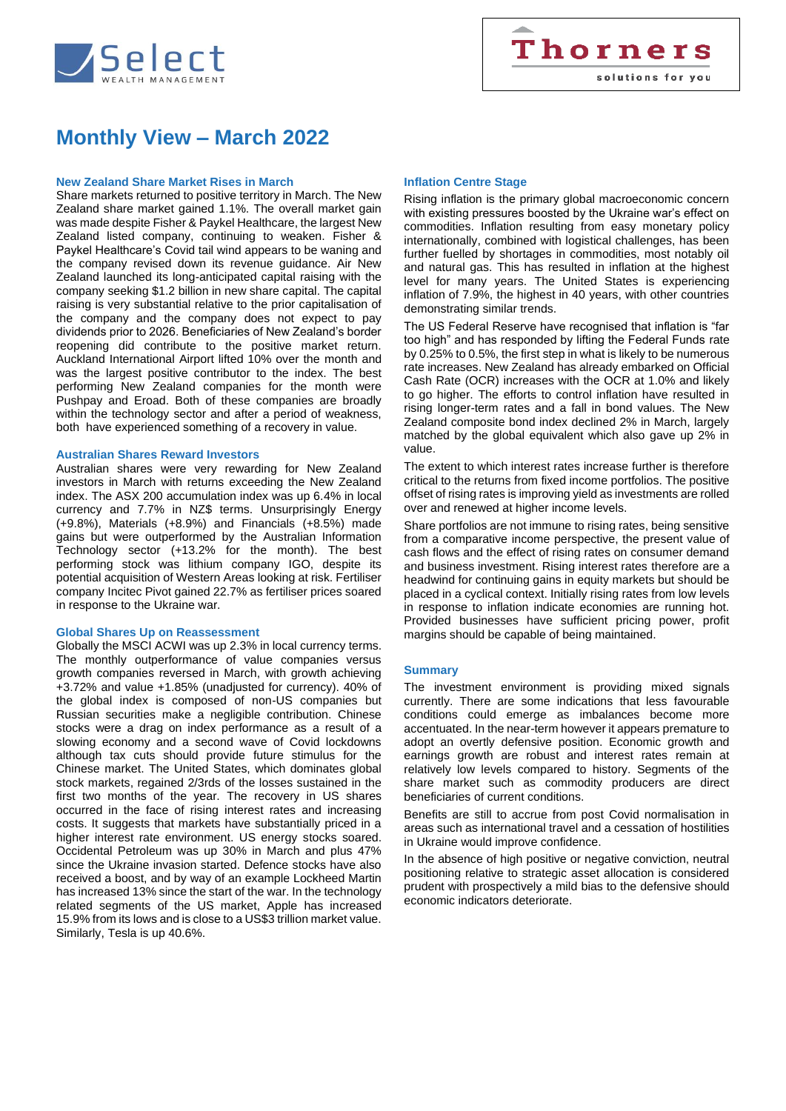

## **Monthly View – March 2022**

#### **New Zealand Share Market Rises in March**

Share markets returned to positive territory in March. The New Zealand share market gained 1.1%. The overall market gain was made despite Fisher & Paykel Healthcare, the largest New Zealand listed company, continuing to weaken. Fisher & Paykel Healthcare's Covid tail wind appears to be waning and the company revised down its revenue guidance. Air New Zealand launched its long-anticipated capital raising with the company seeking \$1.2 billion in new share capital. The capital raising is very substantial relative to the prior capitalisation of the company and the company does not expect to pay dividends prior to 2026. Beneficiaries of New Zealand's border reopening did contribute to the positive market return. Auckland International Airport lifted 10% over the month and was the largest positive contributor to the index. The best performing New Zealand companies for the month were Pushpay and Eroad. Both of these companies are broadly within the technology sector and after a period of weakness, both have experienced something of a recovery in value.

#### **Australian Shares Reward Investors**

Australian shares were very rewarding for New Zealand investors in March with returns exceeding the New Zealand index. The ASX 200 accumulation index was up 6.4% in local currency and 7.7% in NZ\$ terms. Unsurprisingly Energy (+9.8%), Materials (+8.9%) and Financials (+8.5%) made gains but were outperformed by the Australian Information Technology sector (+13.2% for the month). The best performing stock was lithium company IGO, despite its potential acquisition of Western Areas looking at risk. Fertiliser company Incitec Pivot gained 22.7% as fertiliser prices soared in response to the Ukraine war.

#### **Global Shares Up on Reassessment**

Globally the MSCI ACWI was up 2.3% in local currency terms. The monthly outperformance of value companies versus growth companies reversed in March, with growth achieving +3.72% and value +1.85% (unadjusted for currency). 40% of the global index is composed of non-US companies but Russian securities make a negligible contribution. Chinese stocks were a drag on index performance as a result of a slowing economy and a second wave of Covid lockdowns although tax cuts should provide future stimulus for the Chinese market. The United States, which dominates global stock markets, regained 2/3rds of the losses sustained in the first two months of the year. The recovery in US shares occurred in the face of rising interest rates and increasing costs. It suggests that markets have substantially priced in a higher interest rate environment. US energy stocks soared. Occidental Petroleum was up 30% in March and plus 47% since the Ukraine invasion started. Defence stocks have also received a boost, and by way of an example Lockheed Martin has increased 13% since the start of the war. In the technology related segments of the US market, Apple has increased 15.9% from its lows and is close to a US\$3 trillion market value. Similarly, Tesla is up 40.6%.

#### **Inflation Centre Stage**

Rising inflation is the primary global macroeconomic concern with existing pressures boosted by the Ukraine war's effect on commodities. Inflation resulting from easy monetary policy internationally, combined with logistical challenges, has been further fuelled by shortages in commodities, most notably oil and natural gas. This has resulted in inflation at the highest level for many years. The United States is experiencing inflation of 7.9%, the highest in 40 years, with other countries demonstrating similar trends.

The US Federal Reserve have recognised that inflation is "far too high" and has responded by lifting the Federal Funds rate by 0.25% to 0.5%, the first step in what is likely to be numerous rate increases. New Zealand has already embarked on Official Cash Rate (OCR) increases with the OCR at 1.0% and likely to go higher. The efforts to control inflation have resulted in rising longer-term rates and a fall in bond values. The New Zealand composite bond index declined 2% in March, largely matched by the global equivalent which also gave up 2% in value.

The extent to which interest rates increase further is therefore critical to the returns from fixed income portfolios. The positive offset of rising rates is improving yield as investments are rolled over and renewed at higher income levels.

Share portfolios are not immune to rising rates, being sensitive from a comparative income perspective, the present value of cash flows and the effect of rising rates on consumer demand and business investment. Rising interest rates therefore are a headwind for continuing gains in equity markets but should be placed in a cyclical context. Initially rising rates from low levels in response to inflation indicate economies are running hot. Provided businesses have sufficient pricing power, profit margins should be capable of being maintained.

#### **Summary**

The investment environment is providing mixed signals currently. There are some indications that less favourable conditions could emerge as imbalances become more accentuated. In the near-term however it appears premature to adopt an overtly defensive position. Economic growth and earnings growth are robust and interest rates remain at relatively low levels compared to history. Segments of the share market such as commodity producers are direct beneficiaries of current conditions.

Benefits are still to accrue from post Covid normalisation in areas such as international travel and a cessation of hostilities in Ukraine would improve confidence.

In the absence of high positive or negative conviction, neutral positioning relative to strategic asset allocation is considered prudent with prospectively a mild bias to the defensive should economic indicators deteriorate.